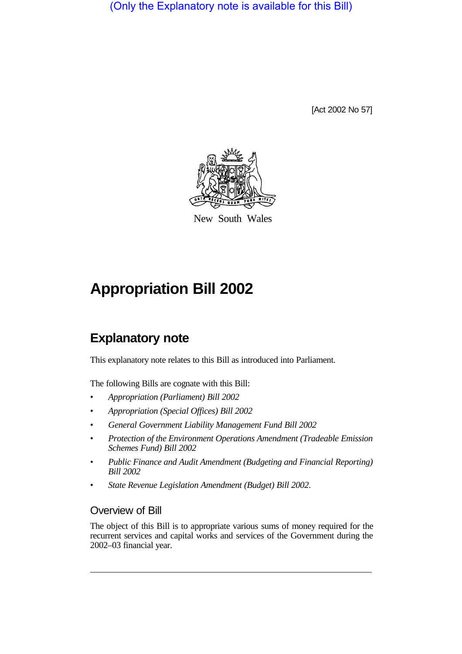(Only the Explanatory note is available for this Bill)

[Act 2002 No 57]



New South Wales

## **Appropriation Bill 2002**

## **Explanatory note**

This explanatory note relates to this Bill as introduced into Parliament.

The following Bills are cognate with this Bill:

- *Appropriation (Parliament) Bill 2002*
- *Appropriation (Special Offices) Bill 2002*
- *General Government Liability Management Fund Bill 2002*
- *Protection of the Environment Operations Amendment (Tradeable Emission Schemes Fund) Bill 2002*
- *Public Finance and Audit Amendment (Budgeting and Financial Reporting) Bill 2002*
- *State Revenue Legislation Amendment (Budget) Bill 2002*.

## Overview of Bill

The object of this Bill is to appropriate various sums of money required for the recurrent services and capital works and services of the Government during the 2002–03 financial year.